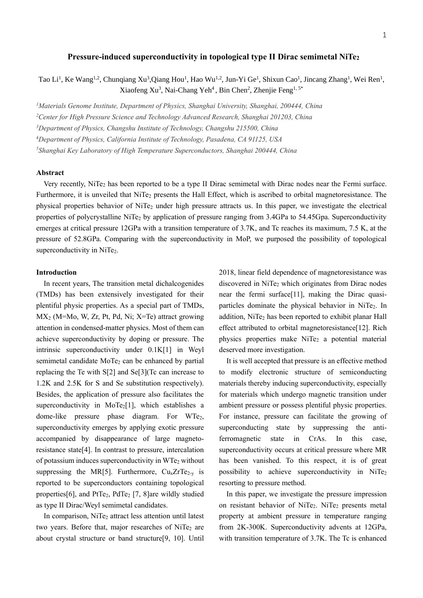## **Pressure-induced superconductivity in topological type II Dirac semimetal NiTe<sup>2</sup>**

Tao Li<sup>1</sup>, Ke Wang<sup>1,2</sup>, Chunqiang Xu<sup>3</sup>,Qiang Hou<sup>1</sup>, Hao Wu<sup>1,2</sup>, Jun-Yi Ge<sup>1</sup>, Shixun Cao<sup>1</sup>, Jincang Zhang<sup>1</sup>, Wei Ren<sup>1</sup>, Xiaofeng Xu<sup>3</sup>, Nai-Chang Yeh<sup>4</sup>, Bin Chen<sup>2</sup>, Zhenjie Feng<sup>1, 5\*</sup>

*<sup>1</sup>Materials Genome Institute, Department of Physics, Shanghai University, Shanghai, 200444, China*

*<sup>2</sup>Center for High Pressure Science and Technology Advanced Research, Shanghai 201203, China*

*<sup>3</sup>Department of Physics, Changshu Institute of Technology, Changshu 215500, China*

<sup>4</sup>*Department of Physics, California Institute of Technology, Pasadena, CA 91125, USA*

*<sup>5</sup>Shanghai Key Laboratory of High Temperature Superconductors, Shanghai 200444, China*

### **Abstract**

Very recently, NiTe<sub>2</sub> has been reported to be a type II Dirac semimetal with Dirac nodes near the Fermi surface. Furthermore, it is unveiled that NiTe<sub>2</sub> presents the Hall Effect, which is ascribed to orbital magnetoresistance. The physical properties behavior of NiTe<sup>2</sup> under high pressure attracts us. In this paper, we investigate the electrical properties of polycrystalline NiTe<sup>2</sup> by application of pressure ranging from 3.4GPa to 54.45Gpa. Superconductivity emerges at critical pressure 12GPa with a transition temperature of 3.7K, and Tc reaches its maximum, 7.5 K, at the pressure of 52.8GPa. Comparing with the superconductivity in MoP, we purposed the possibility of topological superconductivity in NiTe<sub>2</sub>.

### **Introduction**

In recent years, The transition metal dichalcogenides (TMDs) has been extensively investigated for their plentiful physic properties. As a special part of TMDs, MX<sup>2</sup> (M=Mo, W, Zr, Pt, Pd, Ni; X=Te) attract growing attention in condensed-matter physics. Most of them can achieve superconductivity by doping or pressure. The intrinsic superconductivity under 0.1K[1] in Weyl semimetal candidate  $MoTe<sub>2</sub>$  can be enhanced by partial replacing the Te with  $S[2]$  and  $S[\frac{3}{Tc}$  can increase to 1.2K and 2.5K for S and Se substitution respectively). Besides, the application of pressure also facilitates the superconductivity in MoTe<sub>2</sub>[1], which establishes a dome-like pressure phase diagram. For WTe<sub>2</sub>, superconductivity emerges by applying exotic pressure accompanied by disappearance of large magnetoresistance state[4]. In contrast to pressure, intercalation of potassium induces superconductivity in WTe<sup>2</sup> without suppressing the MR[5]. Furthermore,  $Cu<sub>x</sub>ZrTe<sub>2-v</sub>$  is reported to be superconductors containing topological properties [6], and PtTe<sub>2</sub>, PdTe<sub>2</sub> [7, 8] are wildly studied as type II Dirac/Weyl semimetal candidates.

In comparison, NiTe<sub>2</sub> attract less attention until latest two years. Before that, major researches of NiTe<sub>2</sub> are about crystal structure or band structure[9, 10]. Until 2018, linear field dependence of magnetoresistance was discovered in NiTe<sub>2</sub> which originates from Dirac nodes near the fermi surface[11], making the Dirac quasiparticles dominate the physical behavior in NiTe<sub>2</sub>. In addition, NiTe<sub>2</sub> has been reported to exhibit planar Hall effect attributed to orbital magnetoresistance[12]. Rich physics properties make  $NiTe<sub>2</sub>$  a potential material deserved more investigation.

It is well accepted that pressure is an effective method to modify electronic structure of semiconducting materials thereby inducing superconductivity, especially for materials which undergo magnetic transition under ambient pressure or possess plentiful physic properties. For instance, pressure can facilitate the growing of superconducting state by suppressing the antiferromagnetic state in CrAs. In this case, superconductivity occurs at critical pressure where MR has been vanished. To this respect, it is of great possibility to achieve superconductivity in  $NiTe<sub>2</sub>$ resorting to pressure method.

In this paper, we investigate the pressure impression on resistant behavior of NiTe<sub>2</sub>. NiTe<sub>2</sub> presents metal property at ambient pressure in temperature ranging from 2K-300K. Superconductivity advents at 12GPa, with transition temperature of 3.7K. The Tc is enhanced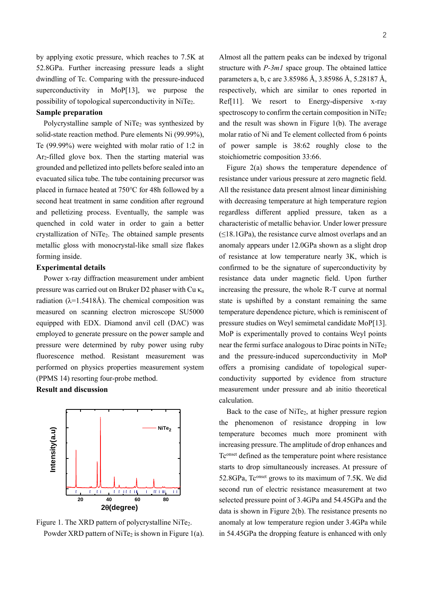by applying exotic pressure, which reaches to 7.5K at 52.8GPa. Further increasing pressure leads a slight dwindling of Tc. Comparing with the pressure-induced superconductivity in MoP[13], we purpose the possibility of topological superconductivity in NiTe2.

# **Sample preparation**

Polycrystalline sample of NiTe<sub>2</sub> was synthesized by solid-state reaction method. Pure elements Ni (99.99%), Te (99.99%) were weighted with molar ratio of 1:2 in Ar2-filled glove box. Then the starting material was grounded and pelletized into pellets before sealed into an evacuated silica tube. The tube containing precursor was placed in furnace heated at 750℃ for 48h followed by a second heat treatment in same condition after reground and pelletizing process. Eventually, the sample was quenched in cold water in order to gain a better crystallization of NiTe2. The obtained sample presents metallic gloss with monocrystal-like small size flakes forming inside.

# **Experimental details**

Power x-ray diffraction measurement under ambient pressure was carried out on Bruker D2 phaser with Cu  $\kappa_a$ radiation ( $\lambda$ =1.5418Å). The chemical composition was measured on scanning electron microscope SU5000 equipped with EDX. Diamond anvil cell (DAC) was employed to generate pressure on the power sample and pressure were determined by ruby power using ruby fluorescence method. Resistant measurement was performed on physics properties measurement system (PPMS 14) resorting four-probe method.

**Result and discussion**



Figure 1. The XRD pattern of polycrystalline NiTe<sub>2</sub>. Powder XRD pattern of NiTe<sub>2</sub> is shown in Figure 1(a).

Almost all the pattern peaks can be indexed by trigonal structure with *P-3m1* space group. The obtained lattice parameters a, b, c are 3.85986 Å, 3.85986 Å, 5.28187 Å, respectively, which are similar to ones reported in Ref[11]. We resort to Energy-dispersive x-ray spectroscopy to confirm the certain composition in NiTe<sub>2</sub> and the result was shown in Figure 1(b). The average molar ratio of Ni and Te element collected from 6 points of power sample is 38:62 roughly close to the stoichiometric composition 33:66.

Figure 2(a) shows the temperature dependence of resistance under various pressure at zero magnetic field. All the resistance data present almost linear diminishing with decreasing temperature at high temperature region regardless different applied pressure, taken as a characteristic of metallic behavior. Under lower pressure  $(\leq 18.1\text{GPa})$ , the resistance curve almost overlaps and an anomaly appears under 12.0GPa shown as a slight drop of resistance at low temperature nearly 3K, which is confirmed to be the signature of superconductivity by resistance data under magnetic field. Upon further increasing the pressure, the whole R-T curve at normal state is upshifted by a constant remaining the same temperature dependence picture, which is reminiscent of pressure studies on Weyl semimetal candidate MoP[13]. MoP is experimentally proved to contains Weyl points near the fermi surface analogous to Dirac points in NiTe<sub>2</sub> and the pressure-induced superconductivity in MoP offers a promising candidate of topological superconductivity supported by evidence from structure measurement under pressure and ab initio theoretical calculation.

Back to the case of NiTe<sub>2</sub>, at higher pressure region the phenomenon of resistance dropping in low temperature becomes much more prominent with increasing pressure. The amplitude of drop enhances and Tconset defined as the temperature point where resistance starts to drop simultaneously increases. At pressure of 52.8GPa, Tconset grows to its maximum of 7.5K. We did second run of electric resistance measurement at two selected pressure point of 3.4GPa and 54.45GPa and the data is shown in Figure 2(b). The resistance presents no anomaly at low temperature region under 3.4GPa while in 54.45GPa the dropping feature is enhanced with only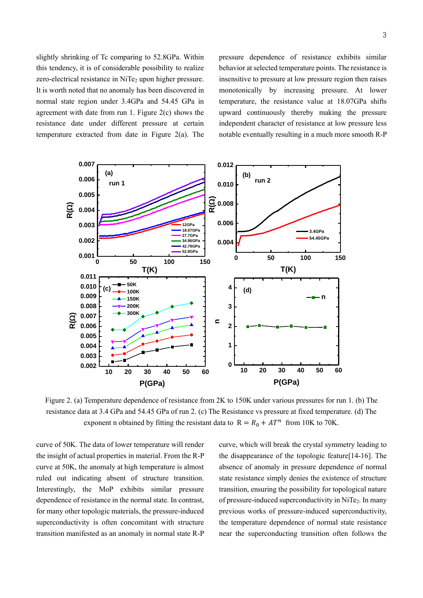slightly shrinking of Tc comparing to 52.8GPa. Within this tendency, it is of considerable possibility to realize zero-electrical resistance in NiTe<sub>2</sub> upon higher pressure. It is worth noted that no anomaly has been discovered in normal state region under 3.4GPa and 54.45 GPa in agreement with date from run 1. Figure 2(c) shows the resistance date under different pressure at certain temperature extracted from date in Figure 2(a). The pressure dependence of resistance exhibits similar behavior at selected temperature points. The resistance is insensitive to pressure at low pressure region then raises monotonically by increasing pressure. At lower temperature, the resistance value at 18.07GPa shifts upward continuously thereby making the pressure independent character of resistance at low pressure less notable eventually resulting in a much more smooth R-P



Figure 2. (a) Temperature dependence of resistance from 2K to 150K under various pressures for run 1. (b) The resistance data at 3.4 GPa and 54.45 GPa of run 2. (c) The Resistance vs pressure at fixed temperature. (d) The exponent n obtained by fitting the resistant data to  $R = R_0 + AT^n$  from 10K to 70K.

curve of 50K. The data of lower temperature will render the insight of actual properties in material. From the R-P curve at 50K, the anomaly at high temperature is almost ruled out indicating absent of structure transition. Interestingly, the MoP exhibits similar pressure dependence of resistance in the normal state. In contrast, for many other topologic materials, the pressure-induced superconductivity is often concomitant with structure transition manifested as an anomaly in normal state R-P curve, which will break the crystal symmetry leading to the disappearance of the topologic feature[14-16]. The absence of anomaly in pressure dependence of normal state resistance simply denies the existence of structure transition, ensuring the possibility for topological nature of pressure-induced superconductivity in NiTe2. In many previous works of pressure-induced superconductivity, the temperature dependence of normal state resistance near the superconducting transition often follows the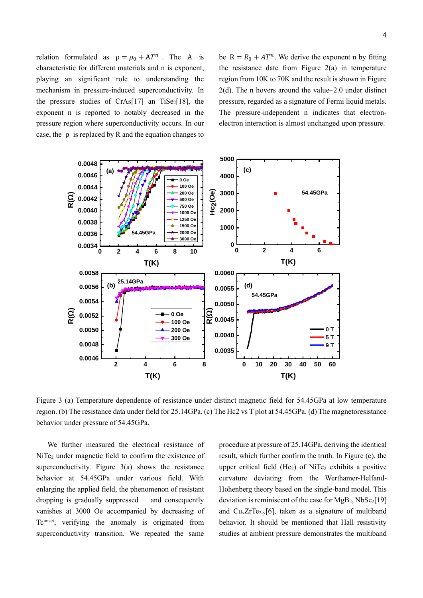relation formulated as  $\rho = \rho_0 + AT^n$ . The A is characteristic for different materials and n is exponent, playing an significant role to understanding the mechanism in pressure-induced superconductivity. In the pressure studies of CrAs[17] an TiSe<sub>2</sub>[18], the exponent n is reported to notably decreased in the pressure region where superconductivity occurs. In our case, the  $\rho$  is replaced by R and the equation changes to

be  $R = R_0 + AT^n$ . We derive the exponent n by fitting the resistance date from Figure  $2(a)$  in temperature region from 10K to 70K and the result is shown in Figure 2(d). The n hovers around the value~2.0 under distinct pressure, regarded as a signature of Fermi liquid metals. The pressure-independent n indicates that electronelectron interaction is almost unchanged upon pressure.



Figure 3 (a) Temperature dependence of resistance under distinct magnetic field for 54.45GPa at low temperature region. (b) The resistance data under field for 25.14GPa. (c) The Hc2 vs T plot at 54.45GPa. (d) The magnetoresistance behavior under pressure of 54.45GPa.

We further measured the electrical resistance of NiTe<sub>2</sub> under magnetic field to confirm the existence of superconductivity. Figure 3(a) shows the resistance behavior at 54.45GPa under various field. With enlarging the applied field, the phenomenon of resistant dropping is gradually suppressed and consequently vanishes at 3000 Oe accompanied by decreasing of Tconset, verifying the anomaly is originated from superconductivity transition. We repeated the same procedure at pressure of 25.14GPa, deriving the identical result, which further confirm the truth. In Figure (c), the upper critical field  $(He<sub>2</sub>)$  of NiTe<sub>2</sub> exhibits a positive curvature deviating from the Werthamer-Helfand-Hohenberg theory based on the single-band model. This deviation is reminiscent of the case for  $MgB_2$ ,  $NbSe_2[19]$ and  $Cu<sub>x</sub>ZrTe<sub>2-y</sub>[6]$ , taken as a signature of multiband behavior. It should be mentioned that Hall resistivity studies at ambient pressure demonstrates the multiband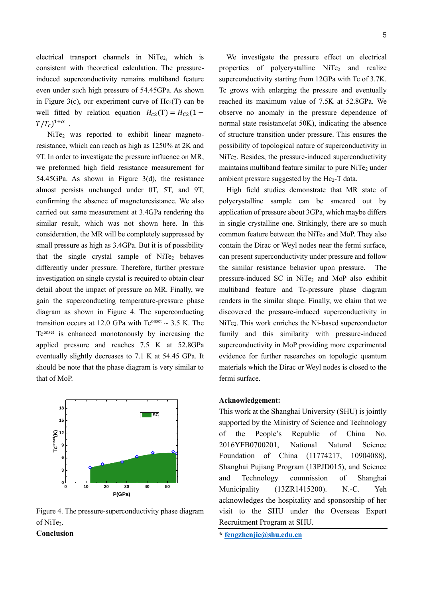electrical transport channels in NiTe<sub>2</sub>, which is consistent with theoretical calculation. The pressureinduced superconductivity remains multiband feature even under such high pressure of 54.45GPa. As shown in Figure 3(c), our experiment curve of  $He<sub>2</sub>(T)$  can be well fitted by relation equation  $H_{c2}(T) = H_{c2}(1 T/T_c)^{1+\alpha}$ .

NiTe<sup>2</sup> was reported to exhibit linear magnetoresistance, which can reach as high as 1250% at 2K and 9T. In order to investigate the pressure influence on MR, we preformed high field resistance measurement for 54.45GPa. As shown in Figure 3(d), the resistance almost persists unchanged under 0T, 5T, and 9T, confirming the absence of magnetoresistance. We also carried out same measurement at 3.4GPa rendering the similar result, which was not shown here. In this consideration, the MR will be completely suppressed by small pressure as high as 3.4GPa. But it is of possibility that the single crystal sample of  $NiTe<sub>2</sub>$  behaves differently under pressure. Therefore, further pressure investigation on single crystal is required to obtain clear detail about the impact of pressure on MR. Finally, we gain the superconducting temperature-pressure phase diagram as shown in Figure 4. The superconducting transition occurs at 12.0 GPa with  $Tc^{onset} \sim 3.5$  K. The Tconset is enhanced monotonously by increasing the applied pressure and reaches 7.5 K at 52.8GPa eventually slightly decreases to 7.1 K at 54.45 GPa. It should be note that the phase diagram is very similar to that of MoP.



Figure 4. The pressure-superconductivity phase diagram of NiTe<sub>2</sub>.

**Conclusion**

We investigate the pressure effect on electrical properties of polycrystalline NiTe<sub>2</sub> and realize superconductivity starting from 12GPa with Tc of 3.7K. Tc grows with enlarging the pressure and eventually reached its maximum value of 7.5K at 52.8GPa. We observe no anomaly in the pressure dependence of normal state resistance(at 50K), indicating the absence of structure transition under pressure. This ensures the possibility of topological nature of superconductivity in NiTe2. Besides, the pressure-induced superconductivity maintains multiband feature similar to pure  $NiTe<sub>2</sub>$  under ambient pressure suggested by the  $He<sub>2</sub>-T$  data.

High field studies demonstrate that MR state of polycrystalline sample can be smeared out by application of pressure about 3GPa, which maybe differs in single crystalline one. Strikingly, there are so much common feature between the NiTe<sub>2</sub> and MoP. They also contain the Dirac or Weyl nodes near the fermi surface, can present superconductivity under pressure and follow the similar resistance behavior upon pressure. The pressure-induced SC in NiTe<sub>2</sub> and MoP also exhibit multiband feature and Tc-pressure phase diagram renders in the similar shape. Finally, we claim that we discovered the pressure-induced superconductivity in NiTe<sub>2</sub>. This work enriches the Ni-based superconductor family and this similarity with pressure-induced superconductivity in MoP providing more experimental evidence for further researches on topologic quantum materials which the Dirac or Weyl nodes is closed to the fermi surface.

## **Acknowledgement:**

This work at the Shanghai University (SHU) is jointly supported by the Ministry of Science and Technology of the People's Republic of China No. 2016YFB0700201, National Natural Science Foundation of China (11774217, 10904088), Shanghai Pujiang Program (13PJD015), and Science and Technology commission of Shanghai Municipality (13ZR1415200). N.-C. Yeh acknowledges the hospitality and sponsorship of her visit to the SHU under the Overseas Expert Recruitment Program at SHU.

**\* [fengzhenjie@shu.edu.cn](mailto:fengzhenjie@shu.edu.cn)**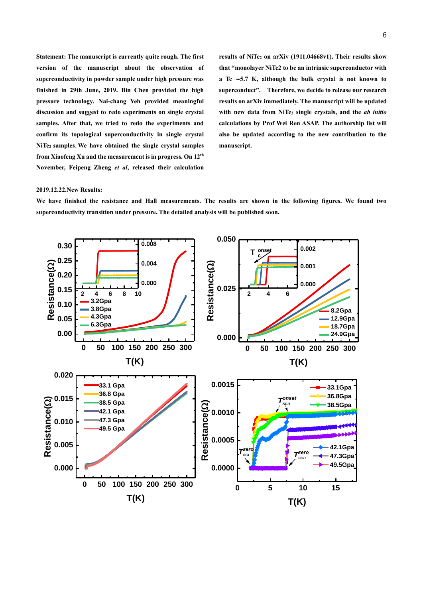**Statement: The manuscript is currently quite rough. The first version of the manuscript about the observation of superconductivity in powder sample under high pressure was finished in 29th June, 2019. Bin Chen provided the high pressure technology. Nai-chang Yeh provided meaningful discussion and suggest to redo experiments on single crystal samples. After that, we tried to redo the experiments and confirm its topological superconductivity in single crystal NiTe2 samples. We have obtained the single crystal samples from Xiaofeng Xu and the measurement is in progress. On 12th November, Feipeng Zheng** *et al***, released their calculation**  **results of NiTe<sup>2</sup> on arXiv (1911.04668v1). Their results show that "monolayer NiTe2 to be an intrinsic superconductor with a Tc** ∼**5.7 K, although the bulk crystal is not known to superconduct". Therefore, we decide to release our research results on arXiv immediately. The manuscript will be updated with new data from NiTe<sup>2</sup> single crystals, and the** *ab initio* **calculations by Prof Wei Ren ASAP. The authorship list will also be updated according to the new contribution to the manuscript.** 

#### **2019.12.22.New Results:**

**We have finished the resistance and Hall measurements. The results are shown in the following figures. We found two superconductivity transition under pressure. The detailed analysis will be published soon.** 

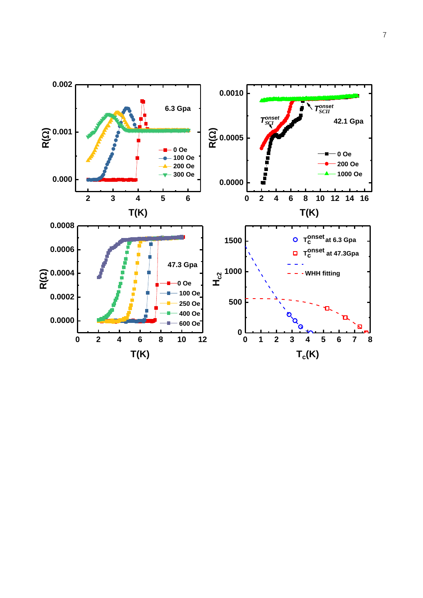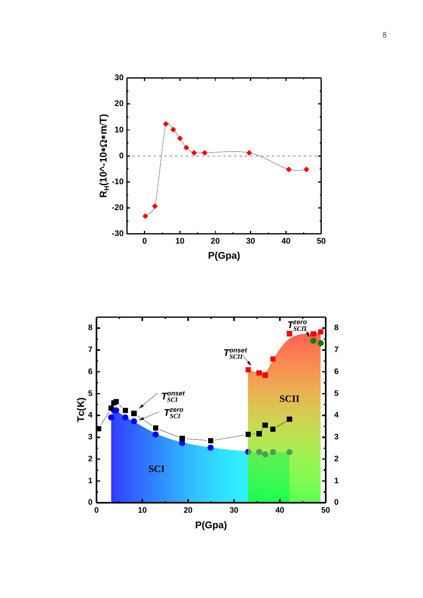